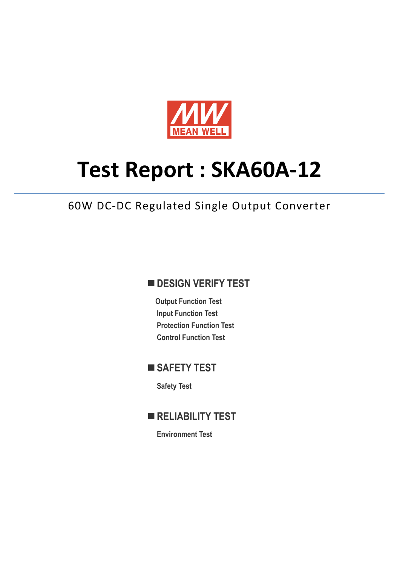

# **Test Report : SKA60A‐12**

# 60W DC‐DC Regulated Single Output Converter

## **DESIGN VERIFY TEST**

**Output Function Test Input Function Test Protection Function Test Control Function Test** 

# ■ SAFETY TEST

**Safety Test** 

**RELIABILITY TEST** 

**Environment Test**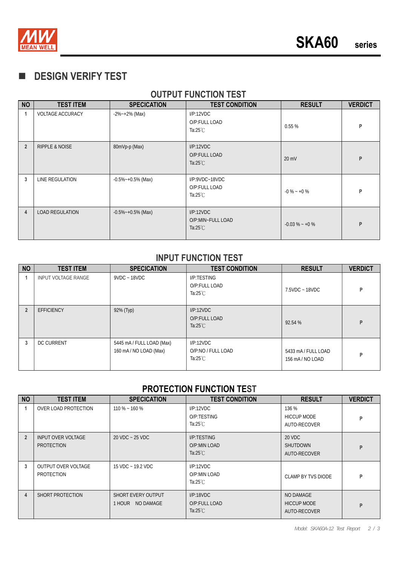

# **DESIGN VERIFY TEST**

| <b>NO</b>      | <b>TEST ITEM</b>          | <b>SPECICATION</b>     | <b>TEST CONDITION</b>                                         | <b>RESULT</b>    | <b>VERDICT</b> |  |  |  |  |  |  |
|----------------|---------------------------|------------------------|---------------------------------------------------------------|------------------|----------------|--|--|--|--|--|--|
| 1              | <b>VOLTAGE ACCURACY</b>   | $-2\%$ $-+2\%$ (Max)   | I/P:12VDC<br>O/P:FULL LOAD<br>Ta: $25^{\circ}$ C              | 0.55%            | P              |  |  |  |  |  |  |
| $\overline{2}$ | <b>RIPPLE &amp; NOISE</b> | 80mVp-p (Max)          | I/P:12VDC<br>O/P:FULL LOAD<br>Ta: $25^{\circ}$ C              | $20 \text{ mV}$  | P              |  |  |  |  |  |  |
| 3              | LINE REGULATION           | $-0.5\%$ ~ +0.5% (Max) | $I/P$ : $9VDC - 18VDC$<br>O/P:FULL LOAD<br>Ta: $25^{\circ}$ C | $-0\% - 0\%$     | P              |  |  |  |  |  |  |
| $\overline{4}$ | <b>LOAD REGULATION</b>    | $-0.5\%$ ~ +0.5% (Max) | I/P:12VDC<br>O/P:MIN~FULL LOAD<br>Ta: $25^{\circ}$ C          | $-0.03\% - +0\%$ | P              |  |  |  |  |  |  |

### **OUTPUT FUNCTION TEST**

#### **INPUT FUNCTION TEST**

| <b>NO</b>      | <b>TEST ITEM</b>           | <b>SPECICATION</b>                                  | <b>TEST CONDITION</b>                                 | <b>RESULT</b>                         | <b>VERDICT</b> |
|----------------|----------------------------|-----------------------------------------------------|-------------------------------------------------------|---------------------------------------|----------------|
|                | <b>INPUT VOLTAGE RANGE</b> | $9VDC - 18VDC$                                      | I/P:TESTING<br>O/P:FULL LOAD<br>Ta:25 $°C$            | 7.5VDC ~ 18VDC                        | P              |
| $\overline{2}$ | <b>EFFICIENCY</b>          | 92% (Typ)                                           | I/P:12VDC<br>O/P:FULL LOAD<br>Ta: $25^{\circ}$ C      | 92.54 %                               | P              |
| 3              | <b>DC CURRENT</b>          | 5445 mA / FULL LOAD (Max)<br>160 mA / NO LOAD (Max) | I/P:12VDC<br>O/P:NO / FULL LOAD<br>Ta: $25^{\circ}$ C | 5433 mA / FULL LOAD<br>156 mA/NO LOAD | P              |

### **PROTECTION FUNCTION TEST**

| <b>NO</b>      | <b>TEST ITEM</b>                               | <b>SPECICATION</b>                            | <b>TEST CONDITION</b><br><b>RESULT</b>            |                                                 | <b>VERDICT</b> |
|----------------|------------------------------------------------|-----------------------------------------------|---------------------------------------------------|-------------------------------------------------|----------------|
|                | OVER LOAD PROTECTION                           | $110\% - 160\%$                               | I/P:12VDC<br>O/P:TESTING<br>Ta: $25^{\circ}$ C    | 136 %<br><b>HICCUP MODE</b><br>AUTO-RECOVER     | P              |
| $\overline{2}$ | <b>INPUT OVER VOLTAGE</b><br><b>PROTECTION</b> | 20 VDC ~ 25 VDC                               | I/P:TESTING<br>O/P:MIN LOAD<br>Ta: $25^{\circ}$ C | 20 VDC<br><b>SHUTDOWN</b><br>AUTO-RECOVER       | P              |
| 3              | OUTPUT OVER VOLTAGE<br>PROTECTION              | $15$ VDC $\sim$ 19.2 VDC                      | I/P:12VDC<br>O/P:MIN LOAD<br>Ta: $25^{\circ}$ C   | CLAMP BY TVS DIODE                              | P              |
| 4              | SHORT PROTECTION                               | <b>SHORT EVERY OUTPUT</b><br>1 HOUR NO DAMAGE | I/P:18VDC<br>O/P:FULL LOAD<br>Ta: $25^{\circ}$ C  | NO DAMAGE<br><b>HICCUP MODE</b><br>AUTO-RECOVER | P              |